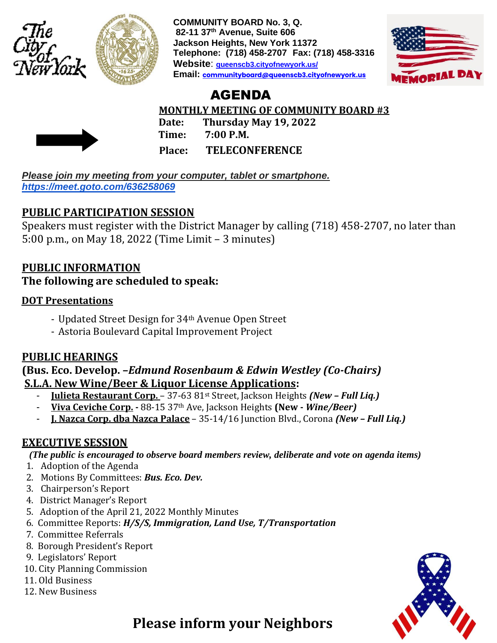



**COMMUNITY BOARD No. 3, Q. 82-11 37th Avenue, Suite 606 Jackson Heights, New York 11372 Telephone: (718) 458-2707 Fax: (718) 458-3316 Website**: **queenscb3.cityofnewyork.us/ Email: [communityboard@queenscb3.cityofnewyork.us](mailto:communityboard@queenscb3.cityofnewyork.us)**



# AGENDA

 **MONTHLY MEETING OF COMMUNITY BOARD #3**



 **Date: Thursday May 19, 2022 Time: 7:00 P.M. Place: TELECONFERENCE**

*Please join my meeting from your computer, tablet or smartphone. <https://meet.goto.com/636258069>*

## **PUBLIC PARTICIPATION SESSION**

Speakers must register with the District Manager by calling (718) 458-2707, no later than 5:00 p.m., on May 18, 2022 (Time Limit – 3 minutes)

## **PUBLIC INFORMATION**

### **The following are scheduled to speak:**

### **DOT Presentations**

- Updated Street Design for 34th Avenue Open Street
- Astoria Boulevard Capital Improvement Project

## **PUBLIC HEARINGS**

### **(Bus. Eco. Develop. –***Edmund Rosenbaum & Edwin Westley (Co-Chairs)* **S.L.A. New Wine/Beer & Liquor License Applications:**

- **Julieta Restaurant Corp.**  37-63 81st Street, Jackson Heights *(New – Full Liq.)*
- **Viva Ceviche Corp. -** 88-15 37th Ave, Jackson Heights **(New -** *Wine/Beer)*
- **J. Nazca Corp. dba Nazca Palace** 35-14/16 Junction Blvd., Corona *(New – Full Liq.)*

## **EXECUTIVE SESSION**

*(The public is encouraged to observe board members review, deliberate and vote on agenda items)*

- 1. Adoption of the Agenda
- 2. Motions By Committees: *Bus. Eco. Dev.*
- 3. Chairperson's Report
- 4. District Manager's Report
- 5. Adoption of the April 21, 2022 Monthly Minutes
- 6. Committee Reports: *H/S/S, Immigration, Land Use, T/Transportation*
- 7. Committee Referrals
- 8. Borough President's Report
- 9. Legislators' Report
- 10. City Planning Commission
- 11. Old Business
- 12. New Business



 **Please inform your Neighbors**